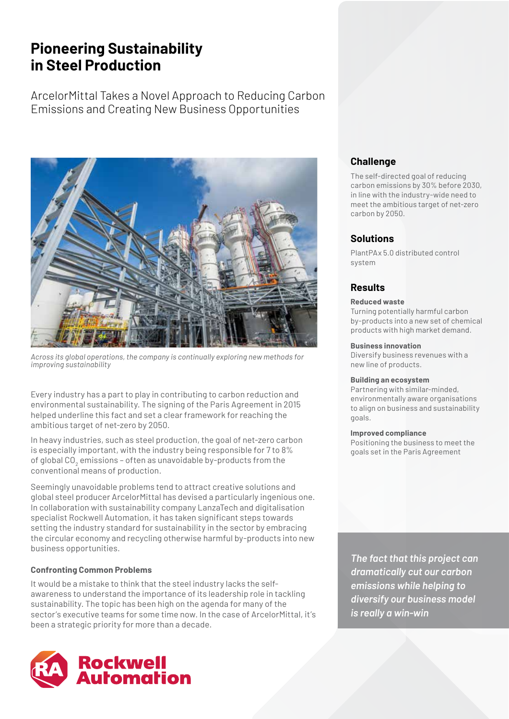# **Pioneering Sustainability in Steel Production**

ArcelorMittal Takes a Novel Approach to Reducing Carbon Emissions and Creating New Business Opportunities



*Across its global operations, the company is continually exploring new methods for improving sustainability*

Every industry has a part to play in contributing to carbon reduction and environmental sustainability. The signing of the Paris Agreement in 2015 helped underline this fact and set a clear framework for reaching the ambitious target of net-zero by 2050.

In heavy industries, such as steel production, the goal of net-zero carbon is especially important, with the industry being responsible for 7 to 8% of global CO $_{\rm _2}$  emissions – often as unavoidable by-products from the conventional means of production.

Seemingly unavoidable problems tend to attract creative solutions and global steel producer ArcelorMittal has devised a particularly ingenious one. In collaboration with sustainability company LanzaTech and digitalisation specialist Rockwell Automation, it has taken significant steps towards setting the industry standard for sustainability in the sector by embracing the circular economy and recycling otherwise harmful by-products into new business opportunities.

## **Confronting Common Problems**

It would be a mistake to think that the steel industry lacks the selfawareness to understand the importance of its leadership role in tackling sustainability. The topic has been high on the agenda for many of the sector's executive teams for some time now. In the case of ArcelorMittal, it's been a strategic priority for more than a decade.



# **Challenge**

The self-directed goal of reducing carbon emissions by 30% before 2030, in line with the industry-wide need to meet the ambitious target of net-zero carbon by 2050.

## **Solutions**

PlantPAx 5.0 distributed control system

# **Results**

#### **Reduced waste**

Turning potentially harmful carbon by-products into a new set of chemical products with high market demand.

#### **Business innovation**

Diversify business revenues with a new line of products.

#### **Building an ecosystem**

Partnering with similar-minded, environmentally aware organisations to align on business and sustainability goals.

#### **Improved compliance**

Positioning the business to meet the goals set in the Paris Agreement

*The fact that this project can dramatically cut our carbon emissions while helping to diversify our business model is really a win-win*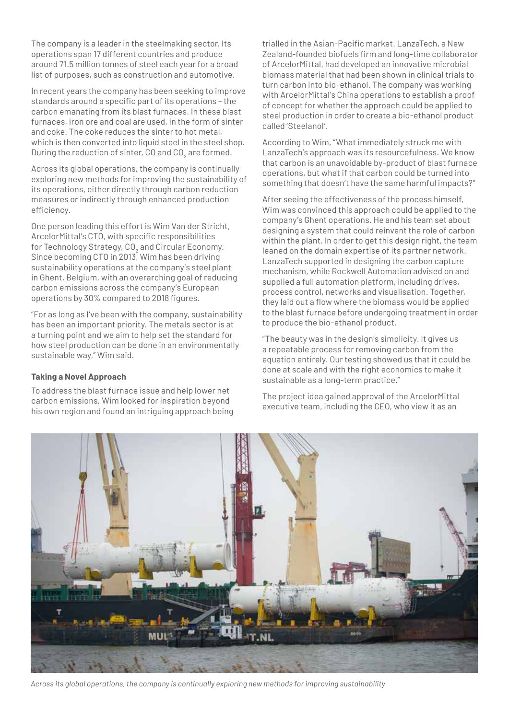The company is a leader in the steelmaking sector. Its operations span 17 different countries and produce around 71.5 million tonnes of steel each year for a broad list of purposes, such as construction and automotive.

In recent years the company has been seeking to improve standards around a specific part of its operations – the carbon emanating from its blast furnaces. In these blast furnaces, iron ore and coal are used, in the form of sinter and coke. The coke reduces the sinter to hot metal, which is then converted into liquid steel in the steel shop. During the reduction of sinter, CO and CO $_{\rm 2}$  are formed.

Across its global operations, the company is continually exploring new methods for improving the sustainability of its operations, either directly through carbon reduction measures or indirectly through enhanced production efficiency.

One person leading this effort is Wim Van der Stricht, ArcelorMittal's CTO, with specific responsibilities for Technology Strategy, CO $_{\rm 2}$  and Circular Economy. Since becoming CTO in 2013, Wim has been driving sustainability operations at the company's steel plant in Ghent, Belgium, with an overarching goal of reducing carbon emissions across the company's European operations by 30% compared to 2018 figures.

"For as long as I've been with the company, sustainability has been an important priority. The metals sector is at a turning point and we aim to help set the standard for how steel production can be done in an environmentally sustainable way," Wim said.

#### **Taking a Novel Approach**

To address the blast furnace issue and help lower net carbon emissions, Wim looked for inspiration beyond his own region and found an intriguing approach being trialled in the Asian-Pacific market. LanzaTech, a New Zealand-founded biofuels firm and long-time collaborator of ArcelorMittal, had developed an innovative microbial biomass material that had been shown in clinical trials to turn carbon into bio-ethanol. The company was working with ArcelorMittal's China operations to establish a proof of concept for whether the approach could be applied to steel production in order to create a bio-ethanol product called 'Steelanol'.

According to Wim, "What immediately struck me with LanzaTech's approach was its resourcefulness. We know that carbon is an unavoidable by-product of blast furnace operations, but what if that carbon could be turned into something that doesn't have the same harmful impacts?"

After seeing the effectiveness of the process himself, Wim was convinced this approach could be applied to the company's Ghent operations. He and his team set about designing a system that could reinvent the role of carbon within the plant. In order to get this design right, the team leaned on the domain expertise of its partner network. LanzaTech supported in designing the carbon capture mechanism, while Rockwell Automation advised on and supplied a full automation platform, including drives, process control, networks and visualisation. Together, they laid out a flow where the biomass would be applied to the blast furnace before undergoing treatment in order to produce the bio-ethanol product.

"The beauty was in the design's simplicity. It gives us a repeatable process for removing carbon from the equation entirely. Our testing showed us that it could be done at scale and with the right economics to make it sustainable as a long-term practice."

The project idea gained approval of the ArcelorMittal executive team, including the CEO, who view it as an



*Across its global operations, the company is continually exploring new methods for improving sustainability*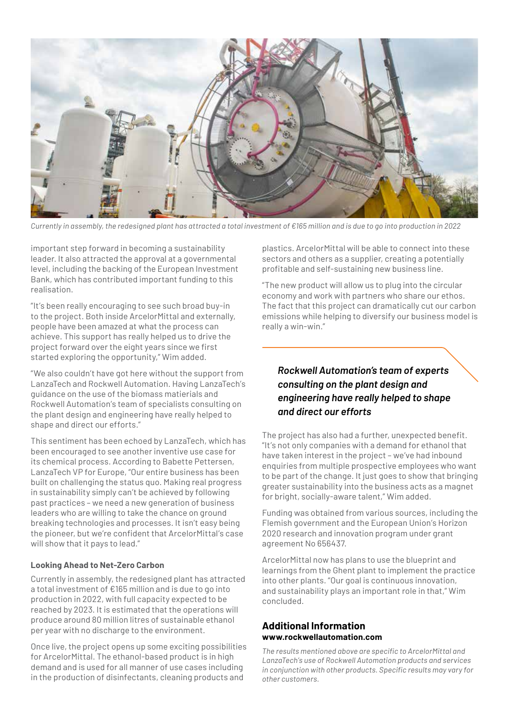

*Currently in assembly, the redesigned plant has attracted a total investment of €165 million and is due to go into production in 2022*

important step forward in becoming a sustainability leader. It also attracted the approval at a governmental level, including the backing of the European Investment Bank, which has contributed important funding to this realisation.

"It's been really encouraging to see such broad buy-in to the project. Both inside ArcelorMittal and externally, people have been amazed at what the process can achieve. This support has really helped us to drive the project forward over the eight years since we first started exploring the opportunity," Wim added.

"We also couldn't have got here without the support from LanzaTech and Rockwell Automation. Having LanzaTech's guidance on the use of the biomass matierials and Rockwell Automation's team of specialists consulting on the plant design and engineering have really helped to shape and direct our efforts."

This sentiment has been echoed by LanzaTech, which has been encouraged to see another inventive use case for its chemical process. According to Babette Pettersen, LanzaTech VP for Europe, "Our entire business has been built on challenging the status quo. Making real progress in sustainability simply can't be achieved by following past practices – we need a new generation of business leaders who are willing to take the chance on ground breaking technologies and processes. It isn't easy being the pioneer, but we're confident that ArcelorMittal's case will show that it pays to lead."

#### **Looking Ahead to Net-Zero Carbon**

Currently in assembly, the redesigned plant has attracted a total investment of €165 million and is due to go into production in 2022, with full capacity expected to be reached by 2023. It is estimated that the operations will produce around 80 million litres of sustainable ethanol per year with no discharge to the environment.

Once live, the project opens up some exciting possibilities for ArcelorMittal. The ethanol-based product is in high demand and is used for all manner of use cases including in the production of disinfectants, cleaning products and

plastics. ArcelorMittal will be able to connect into these sectors and others as a supplier, creating a potentially profitable and self-sustaining new business line.

"The new product will allow us to plug into the circular economy and work with partners who share our ethos. The fact that this project can dramatically cut our carbon emissions while helping to diversify our business model is really a win-win."

# *Rockwell Automation's team of experts consulting on the plant design and engineering have really helped to shape and direct our efforts*

The project has also had a further, unexpected benefit. "It's not only companies with a demand for ethanol that have taken interest in the project – we've had inbound enquiries from multiple prospective employees who want to be part of the change. It just goes to show that bringing greater sustainability into the business acts as a magnet for bright, socially-aware talent," Wim added.

Funding was obtained from various sources, including the Flemish government and the European Union's Horizon 2020 research and innovation program under grant agreement No 656437.

ArcelorMittal now has plans to use the blueprint and learnings from the Ghent plant to implement the practice into other plants. "Our goal is continuous innovation, and sustainability plays an important role in that," Wim concluded.

### **Additional Information www.rockwellautomation.com**

*The results mentioned above are specific to ArcelorMittal and LanzaTech's use of Rockwell Automation products and services in conjunction with other products. Specific results may vary for other customers.*